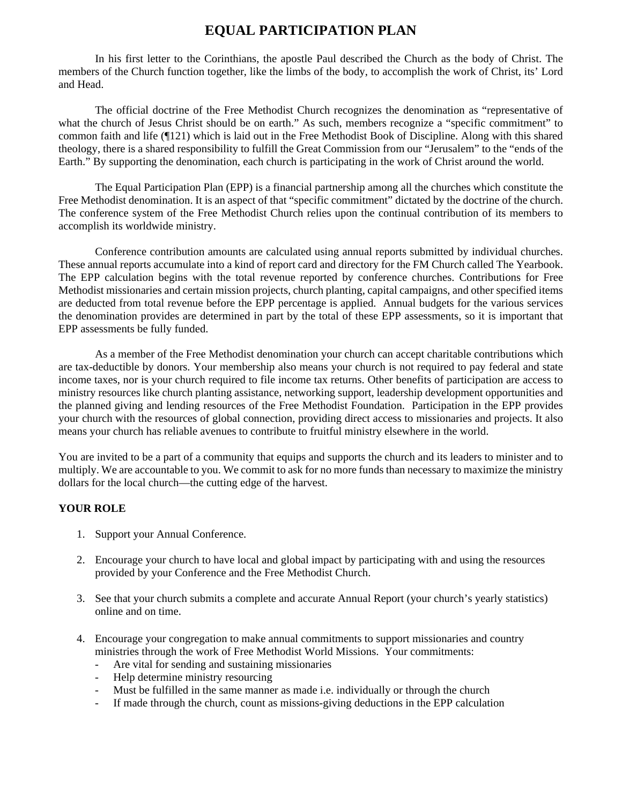## **EQUAL PARTICIPATION PLAN**

In his first letter to the Corinthians, the apostle Paul described the Church as the body of Christ. The members of the Church function together, like the limbs of the body, to accomplish the work of Christ, its' Lord and Head.

The official doctrine of the Free Methodist Church recognizes the denomination as "representative of what the church of Jesus Christ should be on earth." As such, members recognize a "specific commitment" to common faith and life (¶121) which is laid out in the Free Methodist Book of Discipline. Along with this shared theology, there is a shared responsibility to fulfill the Great Commission from our "Jerusalem" to the "ends of the Earth." By supporting the denomination, each church is participating in the work of Christ around the world.

The Equal Participation Plan (EPP) is a financial partnership among all the churches which constitute the Free Methodist denomination. It is an aspect of that "specific commitment" dictated by the doctrine of the church. The conference system of the Free Methodist Church relies upon the continual contribution of its members to accomplish its worldwide ministry.

Conference contribution amounts are calculated using annual reports submitted by individual churches. These annual reports accumulate into a kind of report card and directory for the FM Church called The Yearbook. The EPP calculation begins with the total revenue reported by conference churches. Contributions for Free Methodist missionaries and certain mission projects, church planting, capital campaigns, and other specified items are deducted from total revenue before the EPP percentage is applied. Annual budgets for the various services the denomination provides are determined in part by the total of these EPP assessments, so it is important that EPP assessments be fully funded.

As a member of the Free Methodist denomination your church can accept charitable contributions which are tax-deductible by donors. Your membership also means your church is not required to pay federal and state income taxes, nor is your church required to file income tax returns. Other benefits of participation are access to ministry resources like church planting assistance, networking support, leadership development opportunities and the planned giving and lending resources of the Free Methodist Foundation. Participation in the EPP provides your church with the resources of global connection, providing direct access to missionaries and projects. It also means your church has reliable avenues to contribute to fruitful ministry elsewhere in the world.

You are invited to be a part of a community that equips and supports the church and its leaders to minister and to multiply. We are accountable to you. We commit to ask for no more funds than necessary to maximize the ministry dollars for the local church—the cutting edge of the harvest.

## **YOUR ROLE**

- 1. Support your Annual Conference.
- 2. Encourage your church to have local and global impact by participating with and using the resources provided by your Conference and the Free Methodist Church.
- 3. See that your church submits a complete and accurate Annual Report (your church's yearly statistics) online and on time.
- 4. Encourage your congregation to make annual commitments to support missionaries and country ministries through the work of Free Methodist World Missions. Your commitments:
	- Are vital for sending and sustaining missionaries
	- Help determine ministry resourcing
	- Must be fulfilled in the same manner as made i.e. individually or through the church
	- If made through the church, count as missions-giving deductions in the EPP calculation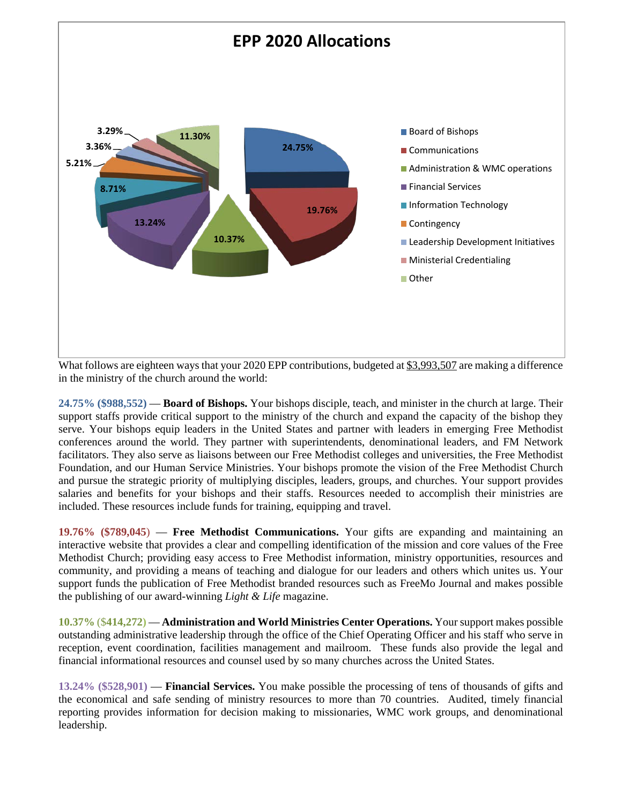

What follows are eighteen ways that your 2020 EPP contributions, budgeted at \$3,993,507 are making a difference in the ministry of the church around the world:

**24.75% (\$988,552)** — **Board of Bishops.** Your bishops disciple, teach, and minister in the church at large. Their support staffs provide critical support to the ministry of the church and expand the capacity of the bishop they serve. Your bishops equip leaders in the United States and partner with leaders in emerging Free Methodist conferences around the world. They partner with superintendents, denominational leaders, and FM Network facilitators. They also serve as liaisons between our Free Methodist colleges and universities, the Free Methodist Foundation, and our Human Service Ministries. Your bishops promote the vision of the Free Methodist Church and pursue the strategic priority of multiplying disciples, leaders, groups, and churches. Your support provides salaries and benefits for your bishops and their staffs. Resources needed to accomplish their ministries are included. These resources include funds for training, equipping and travel.

**19.76% (\$789,045**) — **Free Methodist Communications.** Your gifts are expanding and maintaining an interactive website that provides a clear and compelling identification of the mission and core values of the Free Methodist Church; providing easy access to Free Methodist information, ministry opportunities, resources and community, and providing a means of teaching and dialogue for our leaders and others which unites us. Your support funds the publication of Free Methodist branded resources such as FreeMo Journal and makes possible the publishing of our award-winning *Light & Life* magazine.

**10.37%** (\$**414,272)** — **Administration and World Ministries Center Operations.** Your support makes possible outstanding administrative leadership through the office of the Chief Operating Officer and his staff who serve in reception, event coordination, facilities management and mailroom. These funds also provide the legal and financial informational resources and counsel used by so many churches across the United States.

**13.24% (\$528,901)** — **Financial Services.** You make possible the processing of tens of thousands of gifts and the economical and safe sending of ministry resources to more than 70 countries. Audited, timely financial reporting provides information for decision making to missionaries, WMC work groups, and denominational leadership.